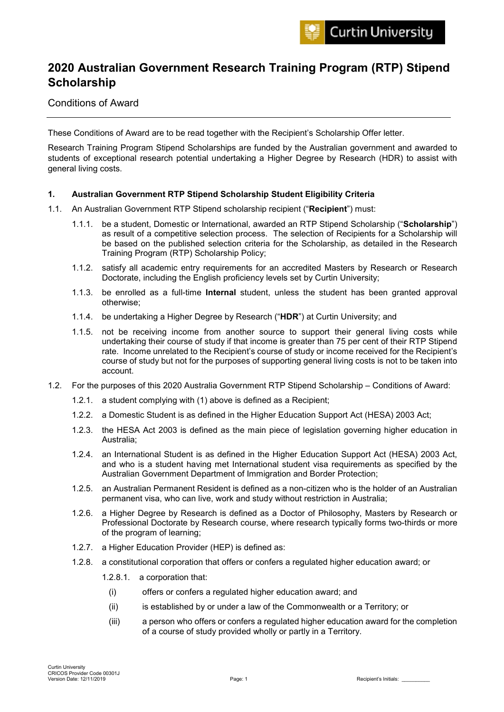# **2020 Australian Government Research Training Program (RTP) Stipend Scholarship**

## Conditions of Award

These Conditions of Award are to be read together with the Recipient's Scholarship Offer letter.

Research Training Program Stipend Scholarships are funded by the Australian government and awarded to students of exceptional research potential undertaking a Higher Degree by Research (HDR) to assist with general living costs.

## **1. Australian Government RTP Stipend Scholarship Student Eligibility Criteria**

- 1.1. An Australian Government RTP Stipend scholarship recipient ("**Recipient**") must:
	- 1.1.1. be a student, Domestic or International, awarded an RTP Stipend Scholarship ("**Scholarship**") as result of a competitive selection process. The selection of Recipients for a Scholarship will be based on the published selection criteria for the Scholarship, as detailed in the Research Training Program (RTP) Scholarship Policy;
	- 1.1.2. satisfy all academic entry requirements for an accredited Masters by Research or Research Doctorate, including the English proficiency levels set by Curtin University;
	- 1.1.3. be enrolled as a full-time **Internal** student, unless the student has been granted approval otherwise;
	- 1.1.4. be undertaking a Higher Degree by Research ("**HDR**") at Curtin University; and
	- 1.1.5. not be receiving income from another source to support their general living costs while undertaking their course of study if that income is greater than 75 per cent of their RTP Stipend rate. Income unrelated to the Recipient's course of study or income received for the Recipient's course of study but not for the purposes of supporting general living costs is not to be taken into account.
- 1.2. For the purposes of this 2020 Australia Government RTP Stipend Scholarship Conditions of Award:
	- 1.2.1. a student complying with (1) above is defined as a Recipient;
	- 1.2.2. a Domestic Student is as defined in the Higher Education Support Act (HESA) 2003 Act;
	- 1.2.3. the HESA Act 2003 is defined as the main piece of legislation governing higher education in Australia;
	- 1.2.4. an International Student is as defined in the Higher Education Support Act (HESA) 2003 Act, and who is a student having met International student visa requirements as specified by the Australian Government Department of Immigration and Border Protection;
	- 1.2.5. an Australian Permanent Resident is defined as a non-citizen who is the holder of an Australian permanent visa, who can live, work and study without restriction in Australia;
	- 1.2.6. a Higher Degree by Research is defined as a Doctor of Philosophy, Masters by Research or Professional Doctorate by Research course, where research typically forms two-thirds or more of the program of learning;
	- 1.2.7. a Higher Education Provider (HEP) is defined as:
	- 1.2.8. a constitutional corporation that offers or confers a regulated higher education award; or
		- 1.2.8.1. a corporation that:
			- (i) offers or confers a regulated higher education award; and
			- (ii) is established by or under a law of the Commonwealth or a Territory; or
			- (iii) a person who offers or confers a regulated higher education award for the completion of a course of study provided wholly or partly in a Territory.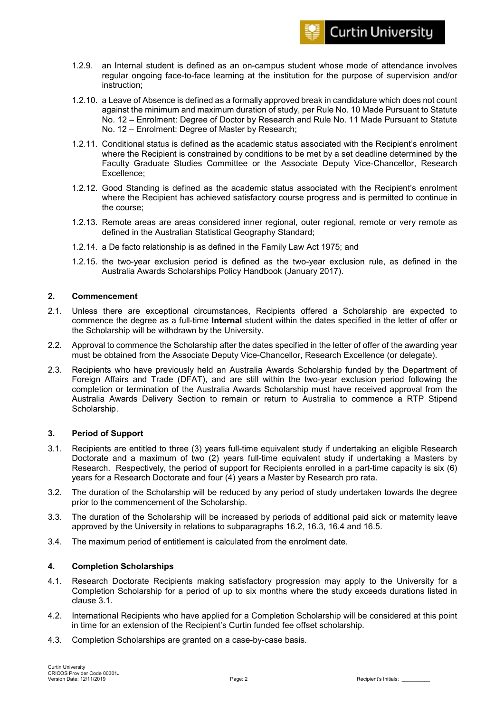

- 1.2.9. an Internal student is defined as an on-campus student whose mode of attendance involves regular ongoing face-to-face learning at the institution for the purpose of supervision and/or instruction;
- 1.2.10. a Leave of Absence is defined as a formally approved break in candidature which does not count against the minimum and maximum duration of study, per Rule No. 10 Made Pursuant to Statute No. 12 – Enrolment: Degree of Doctor by Research and Rule No. 11 Made Pursuant to Statute No. 12 – Enrolment: Degree of Master by Research;
- 1.2.11. Conditional status is defined as the academic status associated with the Recipient's enrolment where the Recipient is constrained by conditions to be met by a set deadline determined by the Faculty Graduate Studies Committee or the Associate Deputy Vice-Chancellor, Research Excellence;
- 1.2.12. Good Standing is defined as the academic status associated with the Recipient's enrolment where the Recipient has achieved satisfactory course progress and is permitted to continue in the course;
- 1.2.13. Remote areas are areas considered inner regional, outer regional, remote or very remote as defined in the Australian Statistical Geography Standard;
- 1.2.14. a De facto relationship is as defined in the Family Law Act 1975; and
- 1.2.15. the two-year exclusion period is defined as the two-year exclusion rule, as defined in the Australia Awards Scholarships Policy Handbook (January 2017).

## **2. Commencement**

- 2.1. Unless there are exceptional circumstances, Recipients offered a Scholarship are expected to commence the degree as a full-time **Internal** student within the dates specified in the letter of offer or the Scholarship will be withdrawn by the University.
- 2.2. Approval to commence the Scholarship after the dates specified in the letter of offer of the awarding year must be obtained from the Associate Deputy Vice-Chancellor, Research Excellence (or delegate).
- 2.3. Recipients who have previously held an Australia Awards Scholarship funded by the Department of Foreign Affairs and Trade (DFAT), and are still within the two-year exclusion period following the completion or termination of the Australia Awards Scholarship must have received approval from the Australia Awards Delivery Section to remain or return to Australia to commence a RTP Stipend Scholarship.

#### **3. Period of Support**

- 3.1. Recipients are entitled to three (3) years full-time equivalent study if undertaking an eligible Research Doctorate and a maximum of two (2) years full-time equivalent study if undertaking a Masters by Research. Respectively, the period of support for Recipients enrolled in a part-time capacity is six (6) years for a Research Doctorate and four (4) years a Master by Research pro rata.
- 3.2. The duration of the Scholarship will be reduced by any period of study undertaken towards the degree prior to the commencement of the Scholarship.
- 3.3. The duration of the Scholarship will be increased by periods of additional paid sick or maternity leave approved by the University in relations to subparagraphs 16.2, 16.3, 16.4 and 16.5.
- 3.4. The maximum period of entitlement is calculated from the enrolment date.

#### **4. Completion Scholarships**

- 4.1. Research Doctorate Recipients making satisfactory progression may apply to the University for a Completion Scholarship for a period of up to six months where the study exceeds durations listed in clause 3.1.
- 4.2. International Recipients who have applied for a Completion Scholarship will be considered at this point in time for an extension of the Recipient's Curtin funded fee offset scholarship.
- 4.3. Completion Scholarships are granted on a case-by-case basis.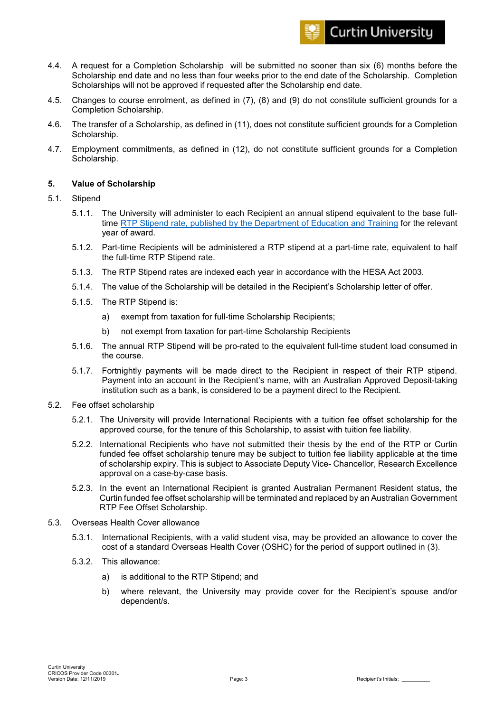

- 4.4. A request for a Completion Scholarship will be submitted no sooner than six (6) months before the Scholarship end date and no less than four weeks prior to the end date of the Scholarship. Completion Scholarships will not be approved if requested after the Scholarship end date.
- 4.5. Changes to course enrolment, as defined in (7), (8) and (9) do not constitute sufficient grounds for a Completion Scholarship.
- 4.6. The transfer of a Scholarship, as defined in (11), does not constitute sufficient grounds for a Completion Scholarship.
- 4.7. Employment commitments, as defined in (12), do not constitute sufficient grounds for a Completion Scholarship.

## **5. Value of Scholarship**

#### 5.1. Stipend

- 5.1.1. The University will administer to each Recipient an annual stipend equivalent to the base fulltime [RTP Stipend rate, published by the Department of Education and Training](https://www.education.gov.au/research-training-program) for the relevant year of award.
- 5.1.2. Part-time Recipients will be administered a RTP stipend at a part-time rate, equivalent to half the full-time RTP Stipend rate.
- 5.1.3. The RTP Stipend rates are indexed each year in accordance with the HESA Act 2003.
- 5.1.4. The value of the Scholarship will be detailed in the Recipient's Scholarship letter of offer.
- 5.1.5. The RTP Stipend is:
	- a) exempt from taxation for full-time Scholarship Recipients;
	- b) not exempt from taxation for part-time Scholarship Recipients
- 5.1.6. The annual RTP Stipend will be pro-rated to the equivalent full-time student load consumed in the course.
- 5.1.7. Fortnightly payments will be made direct to the Recipient in respect of their RTP stipend. Payment into an account in the Recipient's name, with an Australian Approved Deposit-taking institution such as a bank, is considered to be a payment direct to the Recipient.
- 5.2. Fee offset scholarship
	- 5.2.1. The University will provide International Recipients with a tuition fee offset scholarship for the approved course, for the tenure of this Scholarship, to assist with tuition fee liability.
	- 5.2.2. International Recipients who have not submitted their thesis by the end of the RTP or Curtin funded fee offset scholarship tenure may be subject to tuition fee liability applicable at the time of scholarship expiry. This is subject to Associate Deputy Vice- Chancellor, Research Excellence approval on a case-by-case basis.
	- 5.2.3. In the event an International Recipient is granted Australian Permanent Resident status, the Curtin funded fee offset scholarship will be terminated and replaced by an Australian Government RTP Fee Offset Scholarship.
- 5.3. Overseas Health Cover allowance
	- 5.3.1. International Recipients, with a valid student visa, may be provided an allowance to cover the cost of a standard Overseas Health Cover (OSHC) for the period of support outlined in (3).
	- 5.3.2. This allowance:
		- a) is additional to the RTP Stipend; and
		- b) where relevant, the University may provide cover for the Recipient's spouse and/or dependent/s.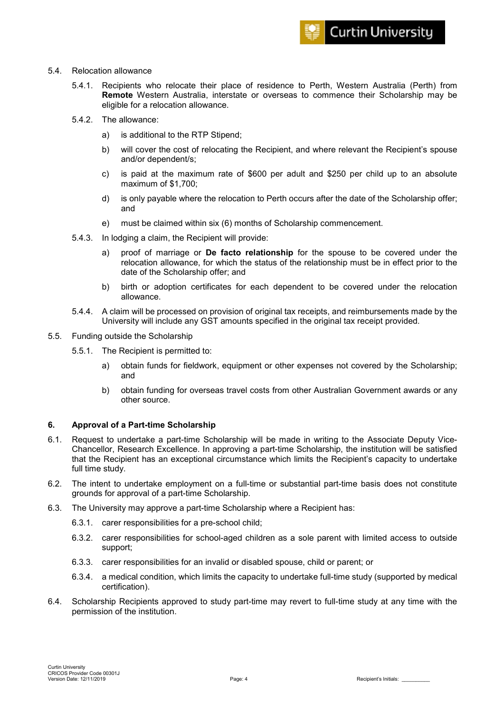#### 5.4. Relocation allowance

- 5.4.1. Recipients who relocate their place of residence to Perth, Western Australia (Perth) from **Remote** Western Australia, interstate or overseas to commence their Scholarship may be eligible for a relocation allowance.
- 5.4.2. The allowance:
	- a) is additional to the RTP Stipend;
	- b) will cover the cost of relocating the Recipient, and where relevant the Recipient's spouse and/or dependent/s;
	- c) is paid at the maximum rate of \$600 per adult and \$250 per child up to an absolute maximum of \$1,700;
	- d) is only payable where the relocation to Perth occurs after the date of the Scholarship offer; and
	- e) must be claimed within six (6) months of Scholarship commencement.
- 5.4.3. In lodging a claim, the Recipient will provide:
	- a) proof of marriage or **De facto relationship** for the spouse to be covered under the relocation allowance, for which the status of the relationship must be in effect prior to the date of the Scholarship offer; and
	- b) birth or adoption certificates for each dependent to be covered under the relocation allowance.
- 5.4.4. A claim will be processed on provision of original tax receipts, and reimbursements made by the University will include any GST amounts specified in the original tax receipt provided.
- 5.5. Funding outside the Scholarship
	- 5.5.1. The Recipient is permitted to:
		- a) obtain funds for fieldwork, equipment or other expenses not covered by the Scholarship; and
		- b) obtain funding for overseas travel costs from other Australian Government awards or any other source.

## **6. Approval of a Part-time Scholarship**

- 6.1. Request to undertake a part-time Scholarship will be made in writing to the Associate Deputy Vice-Chancellor, Research Excellence. In approving a part-time Scholarship, the institution will be satisfied that the Recipient has an exceptional circumstance which limits the Recipient's capacity to undertake full time study.
- 6.2. The intent to undertake employment on a full-time or substantial part-time basis does not constitute grounds for approval of a part-time Scholarship.
- 6.3. The University may approve a part-time Scholarship where a Recipient has:
	- 6.3.1. carer responsibilities for a pre-school child;
	- 6.3.2. carer responsibilities for school-aged children as a sole parent with limited access to outside support;
	- 6.3.3. carer responsibilities for an invalid or disabled spouse, child or parent; or
	- 6.3.4. a medical condition, which limits the capacity to undertake full-time study (supported by medical certification).
- 6.4. Scholarship Recipients approved to study part-time may revert to full-time study at any time with the permission of the institution.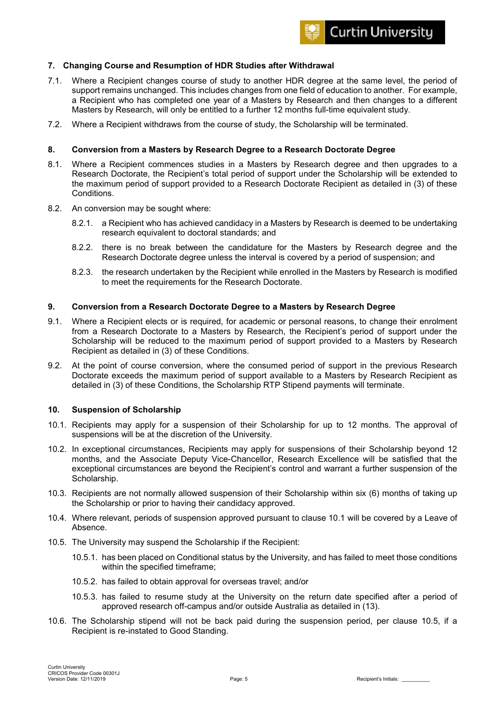### **7. Changing Course and Resumption of HDR Studies after Withdrawal**

- 7.1. Where a Recipient changes course of study to another HDR degree at the same level, the period of support remains unchanged. This includes changes from one field of education to another. For example, a Recipient who has completed one year of a Masters by Research and then changes to a different Masters by Research, will only be entitled to a further 12 months full-time equivalent study.
- 7.2. Where a Recipient withdraws from the course of study, the Scholarship will be terminated.

#### **8. Conversion from a Masters by Research Degree to a Research Doctorate Degree**

- 8.1. Where a Recipient commences studies in a Masters by Research degree and then upgrades to a Research Doctorate, the Recipient's total period of support under the Scholarship will be extended to the maximum period of support provided to a Research Doctorate Recipient as detailed in (3) of these Conditions.
- 8.2. An conversion may be sought where:
	- 8.2.1. a Recipient who has achieved candidacy in a Masters by Research is deemed to be undertaking research equivalent to doctoral standards; and
	- 8.2.2. there is no break between the candidature for the Masters by Research degree and the Research Doctorate degree unless the interval is covered by a period of suspension; and
	- 8.2.3. the research undertaken by the Recipient while enrolled in the Masters by Research is modified to meet the requirements for the Research Doctorate.

#### **9. Conversion from a Research Doctorate Degree to a Masters by Research Degree**

- 9.1. Where a Recipient elects or is required, for academic or personal reasons, to change their enrolment from a Research Doctorate to a Masters by Research, the Recipient's period of support under the Scholarship will be reduced to the maximum period of support provided to a Masters by Research Recipient as detailed in (3) of these Conditions.
- 9.2. At the point of course conversion, where the consumed period of support in the previous Research Doctorate exceeds the maximum period of support available to a Masters by Research Recipient as detailed in (3) of these Conditions, the Scholarship RTP Stipend payments will terminate.

#### **10. Suspension of Scholarship**

- 10.1. Recipients may apply for a suspension of their Scholarship for up to 12 months. The approval of suspensions will be at the discretion of the University.
- 10.2. In exceptional circumstances, Recipients may apply for suspensions of their Scholarship beyond 12 months, and the Associate Deputy Vice-Chancellor, Research Excellence will be satisfied that the exceptional circumstances are beyond the Recipient's control and warrant a further suspension of the Scholarship.
- 10.3. Recipients are not normally allowed suspension of their Scholarship within six (6) months of taking up the Scholarship or prior to having their candidacy approved.
- 10.4. Where relevant, periods of suspension approved pursuant to clause 10.1 will be covered by a Leave of Absence.
- 10.5. The University may suspend the Scholarship if the Recipient:
	- 10.5.1. has been placed on Conditional status by the University, and has failed to meet those conditions within the specified timeframe;
	- 10.5.2. has failed to obtain approval for overseas travel; and/or
	- 10.5.3. has failed to resume study at the University on the return date specified after a period of approved research off-campus and/or outside Australia as detailed in (13).
- 10.6. The Scholarship stipend will not be back paid during the suspension period, per clause 10.5, if a Recipient is re-instated to Good Standing.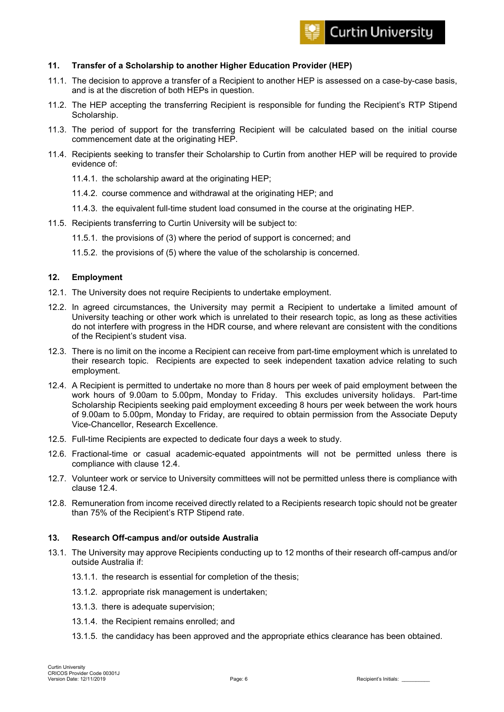## **11. Transfer of a Scholarship to another Higher Education Provider (HEP)**

- 11.1. The decision to approve a transfer of a Recipient to another HEP is assessed on a case-by-case basis, and is at the discretion of both HEPs in question.
- 11.2. The HEP accepting the transferring Recipient is responsible for funding the Recipient's RTP Stipend Scholarship.
- 11.3. The period of support for the transferring Recipient will be calculated based on the initial course commencement date at the originating HEP.
- 11.4. Recipients seeking to transfer their Scholarship to Curtin from another HEP will be required to provide evidence of:
	- 11.4.1. the scholarship award at the originating HEP;
	- 11.4.2. course commence and withdrawal at the originating HEP; and
	- 11.4.3. the equivalent full-time student load consumed in the course at the originating HEP.
- 11.5. Recipients transferring to Curtin University will be subject to:
	- 11.5.1. the provisions of (3) where the period of support is concerned; and
	- 11.5.2. the provisions of (5) where the value of the scholarship is concerned.

#### **12. Employment**

- 12.1. The University does not require Recipients to undertake employment.
- 12.2. In agreed circumstances, the University may permit a Recipient to undertake a limited amount of University teaching or other work which is unrelated to their research topic, as long as these activities do not interfere with progress in the HDR course, and where relevant are consistent with the conditions of the Recipient's student visa.
- 12.3. There is no limit on the income a Recipient can receive from part-time employment which is unrelated to their research topic. Recipients are expected to seek independent taxation advice relating to such employment.
- 12.4. A Recipient is permitted to undertake no more than 8 hours per week of paid employment between the work hours of 9.00am to 5.00pm, Monday to Friday. This excludes university holidays. Part-time Scholarship Recipients seeking paid employment exceeding 8 hours per week between the work hours of 9.00am to 5.00pm, Monday to Friday, are required to obtain permission from the Associate Deputy Vice-Chancellor, Research Excellence.
- 12.5. Full-time Recipients are expected to dedicate four days a week to study.
- 12.6. Fractional-time or casual academic-equated appointments will not be permitted unless there is compliance with clause 12.4.
- 12.7. Volunteer work or service to University committees will not be permitted unless there is compliance with clause 12.4.
- 12.8. Remuneration from income received directly related to a Recipients research topic should not be greater than 75% of the Recipient's RTP Stipend rate.

#### **13. Research Off-campus and/or outside Australia**

- 13.1. The University may approve Recipients conducting up to 12 months of their research off-campus and/or outside Australia if:
	- 13.1.1. the research is essential for completion of the thesis;
	- 13.1.2. appropriate risk management is undertaken;
	- 13.1.3. there is adequate supervision;
	- 13.1.4. the Recipient remains enrolled; and
	- 13.1.5. the candidacy has been approved and the appropriate ethics clearance has been obtained.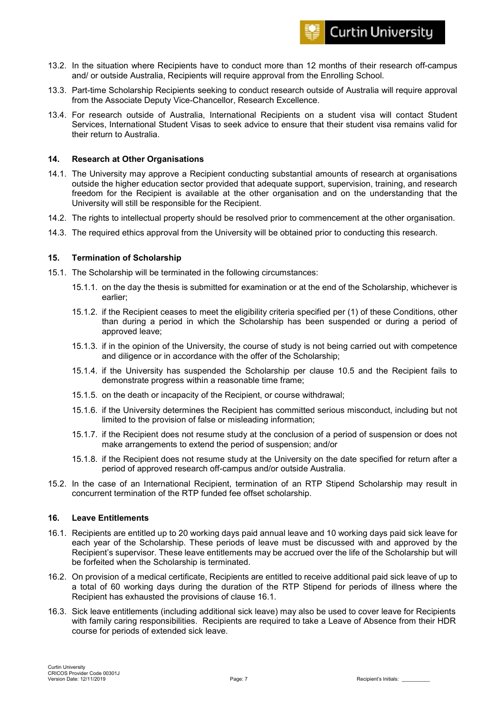

- 13.2. In the situation where Recipients have to conduct more than 12 months of their research off-campus and/ or outside Australia, Recipients will require approval from the Enrolling School.
- 13.3. Part-time Scholarship Recipients seeking to conduct research outside of Australia will require approval from the Associate Deputy Vice-Chancellor, Research Excellence.
- 13.4. For research outside of Australia, International Recipients on a student visa will contact Student Services, International Student Visas to seek advice to ensure that their student visa remains valid for their return to Australia.

#### **14. Research at Other Organisations**

- 14.1. The University may approve a Recipient conducting substantial amounts of research at organisations outside the higher education sector provided that adequate support, supervision, training, and research freedom for the Recipient is available at the other organisation and on the understanding that the University will still be responsible for the Recipient.
- 14.2. The rights to intellectual property should be resolved prior to commencement at the other organisation.
- 14.3. The required ethics approval from the University will be obtained prior to conducting this research.

#### **15. Termination of Scholarship**

- 15.1. The Scholarship will be terminated in the following circumstances:
	- 15.1.1. on the day the thesis is submitted for examination or at the end of the Scholarship, whichever is earlier;
	- 15.1.2. if the Recipient ceases to meet the eligibility criteria specified per (1) of these Conditions, other than during a period in which the Scholarship has been suspended or during a period of approved leave;
	- 15.1.3. if in the opinion of the University, the course of study is not being carried out with competence and diligence or in accordance with the offer of the Scholarship;
	- 15.1.4. if the University has suspended the Scholarship per clause 10.5 and the Recipient fails to demonstrate progress within a reasonable time frame;
	- 15.1.5. on the death or incapacity of the Recipient, or course withdrawal;
	- 15.1.6. if the University determines the Recipient has committed serious misconduct, including but not limited to the provision of false or misleading information;
	- 15.1.7. if the Recipient does not resume study at the conclusion of a period of suspension or does not make arrangements to extend the period of suspension; and/or
	- 15.1.8. if the Recipient does not resume study at the University on the date specified for return after a period of approved research off-campus and/or outside Australia.
- 15.2. In the case of an International Recipient, termination of an RTP Stipend Scholarship may result in concurrent termination of the RTP funded fee offset scholarship.

#### **16. Leave Entitlements**

- 16.1. Recipients are entitled up to 20 working days paid annual leave and 10 working days paid sick leave for each year of the Scholarship. These periods of leave must be discussed with and approved by the Recipient's supervisor. These leave entitlements may be accrued over the life of the Scholarship but will be forfeited when the Scholarship is terminated.
- 16.2. On provision of a medical certificate, Recipients are entitled to receive additional paid sick leave of up to a total of 60 working days during the duration of the RTP Stipend for periods of illness where the Recipient has exhausted the provisions of clause 16.1.
- 16.3. Sick leave entitlements (including additional sick leave) may also be used to cover leave for Recipients with family caring responsibilities. Recipients are required to take a Leave of Absence from their HDR course for periods of extended sick leave.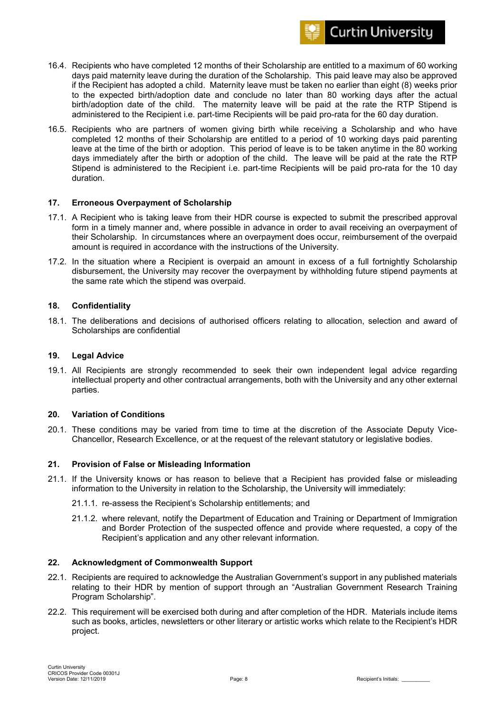

- 16.4. Recipients who have completed 12 months of their Scholarship are entitled to a maximum of 60 working days paid maternity leave during the duration of the Scholarship. This paid leave may also be approved if the Recipient has adopted a child. Maternity leave must be taken no earlier than eight (8) weeks prior to the expected birth/adoption date and conclude no later than 80 working days after the actual birth/adoption date of the child. The maternity leave will be paid at the rate the RTP Stipend is administered to the Recipient i.e. part-time Recipients will be paid pro-rata for the 60 day duration.
- 16.5. Recipients who are partners of women giving birth while receiving a Scholarship and who have completed 12 months of their Scholarship are entitled to a period of 10 working days paid parenting leave at the time of the birth or adoption. This period of leave is to be taken anytime in the 80 working days immediately after the birth or adoption of the child. The leave will be paid at the rate the RTP Stipend is administered to the Recipient i.e. part-time Recipients will be paid pro-rata for the 10 day duration.

## **17. Erroneous Overpayment of Scholarship**

- 17.1. A Recipient who is taking leave from their HDR course is expected to submit the prescribed approval form in a timely manner and, where possible in advance in order to avail receiving an overpayment of their Scholarship. In circumstances where an overpayment does occur, reimbursement of the overpaid amount is required in accordance with the instructions of the University.
- 17.2. In the situation where a Recipient is overpaid an amount in excess of a full fortnightly Scholarship disbursement, the University may recover the overpayment by withholding future stipend payments at the same rate which the stipend was overpaid.

#### **18. Confidentiality**

18.1. The deliberations and decisions of authorised officers relating to allocation, selection and award of Scholarships are confidential

#### **19. Legal Advice**

19.1. All Recipients are strongly recommended to seek their own independent legal advice regarding intellectual property and other contractual arrangements, both with the University and any other external parties.

#### **20. Variation of Conditions**

20.1. These conditions may be varied from time to time at the discretion of the Associate Deputy Vice-Chancellor, Research Excellence, or at the request of the relevant statutory or legislative bodies.

#### **21. Provision of False or Misleading Information**

- 21.1. If the University knows or has reason to believe that a Recipient has provided false or misleading information to the University in relation to the Scholarship, the University will immediately:
	- 21.1.1. re-assess the Recipient's Scholarship entitlements; and
	- 21.1.2. where relevant, notify the Department of Education and Training or Department of Immigration and Border Protection of the suspected offence and provide where requested, a copy of the Recipient's application and any other relevant information.

#### **22. Acknowledgment of Commonwealth Support**

- 22.1. Recipients are required to acknowledge the Australian Government's support in any published materials relating to their HDR by mention of support through an "Australian Government Research Training Program Scholarship".
- 22.2. This requirement will be exercised both during and after completion of the HDR. Materials include items such as books, articles, newsletters or other literary or artistic works which relate to the Recipient's HDR project.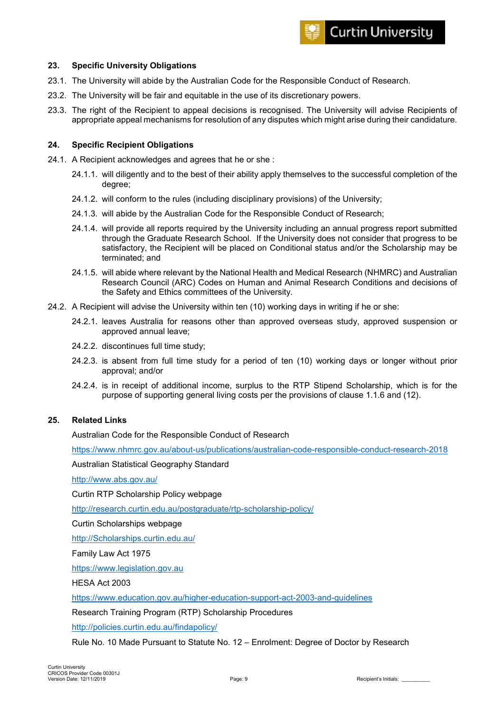## **23. Specific University Obligations**

- 23.1. The University will abide by the Australian Code for the Responsible Conduct of Research.
- 23.2. The University will be fair and equitable in the use of its discretionary powers.
- 23.3. The right of the Recipient to appeal decisions is recognised. The University will advise Recipients of appropriate appeal mechanisms for resolution of any disputes which might arise during their candidature.

## **24. Specific Recipient Obligations**

- 24.1. A Recipient acknowledges and agrees that he or she :
	- 24.1.1. will diligently and to the best of their ability apply themselves to the successful completion of the degree;
	- 24.1.2. will conform to the rules (including disciplinary provisions) of the University;
	- 24.1.3. will abide by the Australian Code for the Responsible Conduct of Research;
	- 24.1.4. will provide all reports required by the University including an annual progress report submitted through the Graduate Research School. If the University does not consider that progress to be satisfactory, the Recipient will be placed on Conditional status and/or the Scholarship may be terminated; and
	- 24.1.5. will abide where relevant by the National Health and Medical Research (NHMRC) and Australian Research Council (ARC) Codes on Human and Animal Research Conditions and decisions of the Safety and Ethics committees of the University.
- 24.2. A Recipient will advise the University within ten (10) working days in writing if he or she:
	- 24.2.1. leaves Australia for reasons other than approved overseas study, approved suspension or approved annual leave;
	- 24.2.2. discontinues full time study;
	- 24.2.3. is absent from full time study for a period of ten (10) working days or longer without prior approval; and/or
	- 24.2.4. is in receipt of additional income, surplus to the RTP Stipend Scholarship, which is for the purpose of supporting general living costs per the provisions of clause 1.1.6 and (12).

#### **25. Related Links**

Australian Code for the Responsible Conduct of Research

<https://www.nhmrc.gov.au/about-us/publications/australian-code-responsible-conduct-research-2018>

Australian Statistical Geography Standard

<http://www.abs.gov.au/>

Curtin RTP Scholarship Policy webpage

<http://research.curtin.edu.au/postgraduate/rtp-scholarship-policy/>

Curtin Scholarships webpage

[http://Scholarships.curtin.edu.au/](http://scholarships.curtin.edu.au/)

Family Law Act 1975

[https://www.legislation.gov.au](https://www.legislation.gov.au/)

HESA Act 2003

<https://www.education.gov.au/higher-education-support-act-2003-and-guidelines>

Research Training Program (RTP) Scholarship Procedures

<http://policies.curtin.edu.au/findapolicy/>

Rule No. 10 Made Pursuant to Statute No. 12 – Enrolment: Degree of Doctor by Research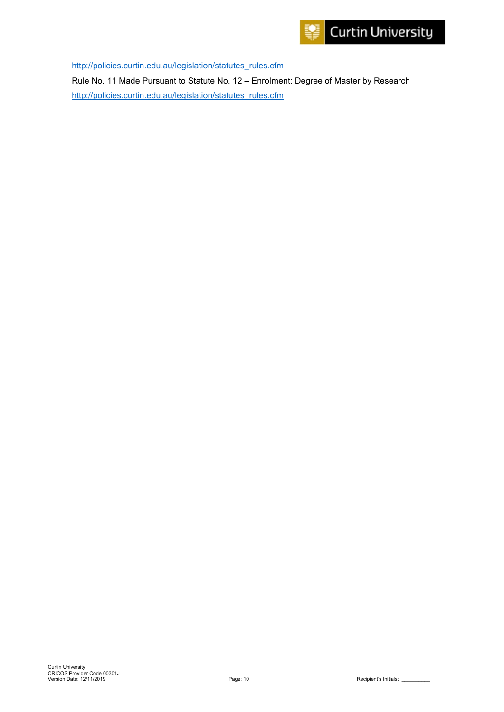

[http://policies.curtin.edu.au/legislation/statutes\\_rules.cfm](http://policies.curtin.edu.au/legislation/statutes_rules.cfm)

Rule No. 11 Made Pursuant to Statute No. 12 – Enrolment: Degree of Master by Research [http://policies.curtin.edu.au/legislation/statutes\\_rules.cfm](http://policies.curtin.edu.au/legislation/statutes_rules.cfm)